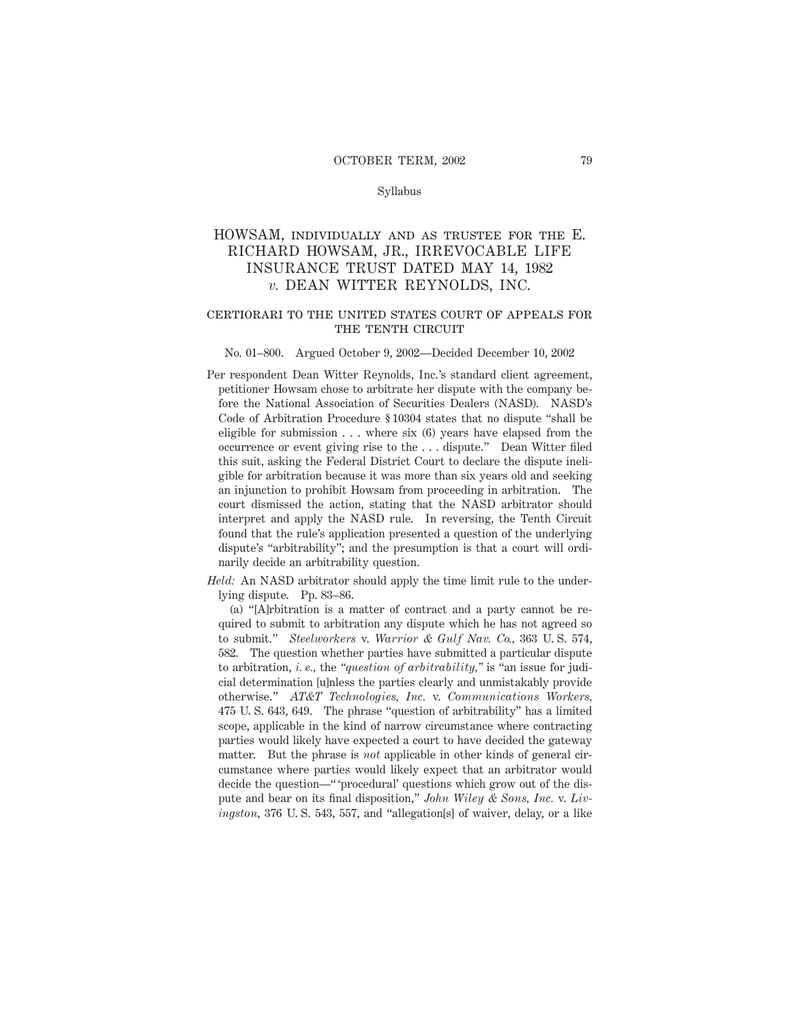### Syllabus

# HOWSAM, individually and as trustee for the E. RICHARD HOWSAM, JR., IRREVOCABLE LIFE INSURANCE TRUST DATED MAY 14, 1982 *v.* DEAN WITTER REYNOLDS, INC.

## certiorari to the united states court of appeals for THE TENTH CIRCUIT

### No. 01–800. Argued October 9, 2002—Decided December 10, 2002

Per respondent Dean Witter Reynolds, Inc.'s standard client agreement, petitioner Howsam chose to arbitrate her dispute with the company before the National Association of Securities Dealers (NASD). NASD's Code of Arbitration Procedure § 10304 states that no dispute "shall be eligible for submission  $\dots$  where six (6) years have elapsed from the occurrence or event giving rise to the . . . dispute." Dean Witter filed this suit, asking the Federal District Court to declare the dispute ineligible for arbitration because it was more than six years old and seeking an injunction to prohibit Howsam from proceeding in arbitration. The court dismissed the action, stating that the NASD arbitrator should interpret and apply the NASD rule. In reversing, the Tenth Circuit found that the rule's application presented a question of the underlying dispute's "arbitrability"; and the presumption is that a court will ordinarily decide an arbitrability question.

*Held:* An NASD arbitrator should apply the time limit rule to the underlying dispute. Pp. 83–86.

(a) "[A]rbitration is a matter of contract and a party cannot be required to submit to arbitration any dispute which he has not agreed so to submit." *Steelworkers* v. *Warrior & Gulf Nav. Co.,* 363 U. S. 574, 582. The question whether parties have submitted a particular dispute to arbitration, *i. e.,* the *"question of arbitrability,"* is "an issue for judicial determination [u]nless the parties clearly and unmistakably provide otherwise." *AT&T Technologies, Inc.* v. *Communications Workers,* 475 U. S. 643, 649. The phrase "question of arbitrability" has a limited scope, applicable in the kind of narrow circumstance where contracting parties would likely have expected a court to have decided the gateway matter. But the phrase is *not* applicable in other kinds of general circumstance where parties would likely expect that an arbitrator would decide the question—" 'procedural' questions which grow out of the dispute and bear on its final disposition," *John Wiley & Sons, Inc.* v. *Livingston,* 376 U. S. 543, 557, and "allegation[s] of waiver, delay, or a like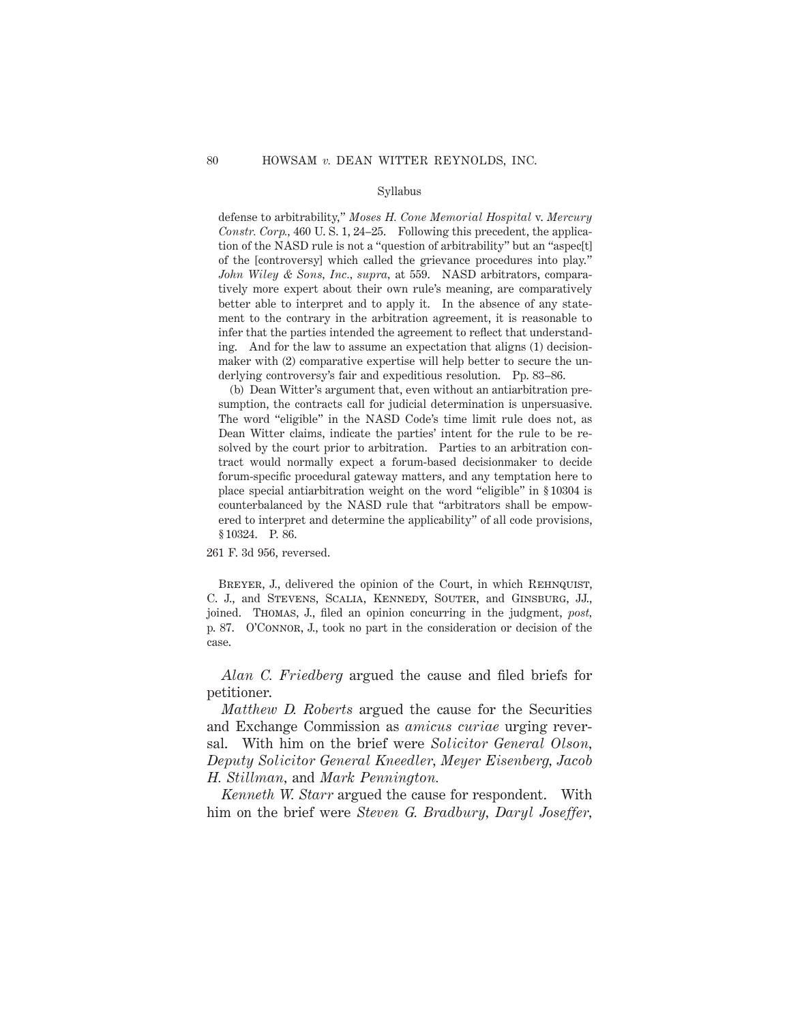### Syllabus

defense to arbitrability," *Moses H. Cone Memorial Hospital* v. *Mercury Constr. Corp.,* 460 U. S. 1, 24–25. Following this precedent, the application of the NASD rule is not a "question of arbitrability" but an "aspec[t] of the [controversy] which called the grievance procedures into play." *John Wiley & Sons, Inc., supra,* at 559. NASD arbitrators, comparatively more expert about their own rule's meaning, are comparatively better able to interpret and to apply it. In the absence of any statement to the contrary in the arbitration agreement, it is reasonable to infer that the parties intended the agreement to reflect that understanding. And for the law to assume an expectation that aligns (1) decisionmaker with (2) comparative expertise will help better to secure the underlying controversy's fair and expeditious resolution. Pp. 83–86.

(b) Dean Witter's argument that, even without an antiarbitration presumption, the contracts call for judicial determination is unpersuasive. The word "eligible" in the NASD Code's time limit rule does not, as Dean Witter claims, indicate the parties' intent for the rule to be resolved by the court prior to arbitration. Parties to an arbitration contract would normally expect a forum-based decisionmaker to decide forum-specific procedural gateway matters, and any temptation here to place special antiarbitration weight on the word "eligible" in § 10304 is counterbalanced by the NASD rule that "arbitrators shall be empowered to interpret and determine the applicability" of all code provisions, § 10324. P. 86.

261 F. 3d 956, reversed.

BREYER, J., delivered the opinion of the Court, in which REHNQUIST, C. J., and Stevens, Scalia, Kennedy, Souter, and Ginsburg, JJ., joined. Thomas, J., filed an opinion concurring in the judgment, *post,* p. 87. O'Connor, J., took no part in the consideration or decision of the case.

*Alan C. Friedberg* argued the cause and filed briefs for petitioner.

*Matthew D. Roberts* argued the cause for the Securities and Exchange Commission as *amicus curiae* urging reversal. With him on the brief were *Solicitor General Olson, Deputy Solicitor General Kneedler, Meyer Eisenberg, Jacob H. Stillman,* and *Mark Pennington.*

*Kenneth W. Starr* argued the cause for respondent. With him on the brief were *Steven G. Bradbury, Daryl Joseffer,*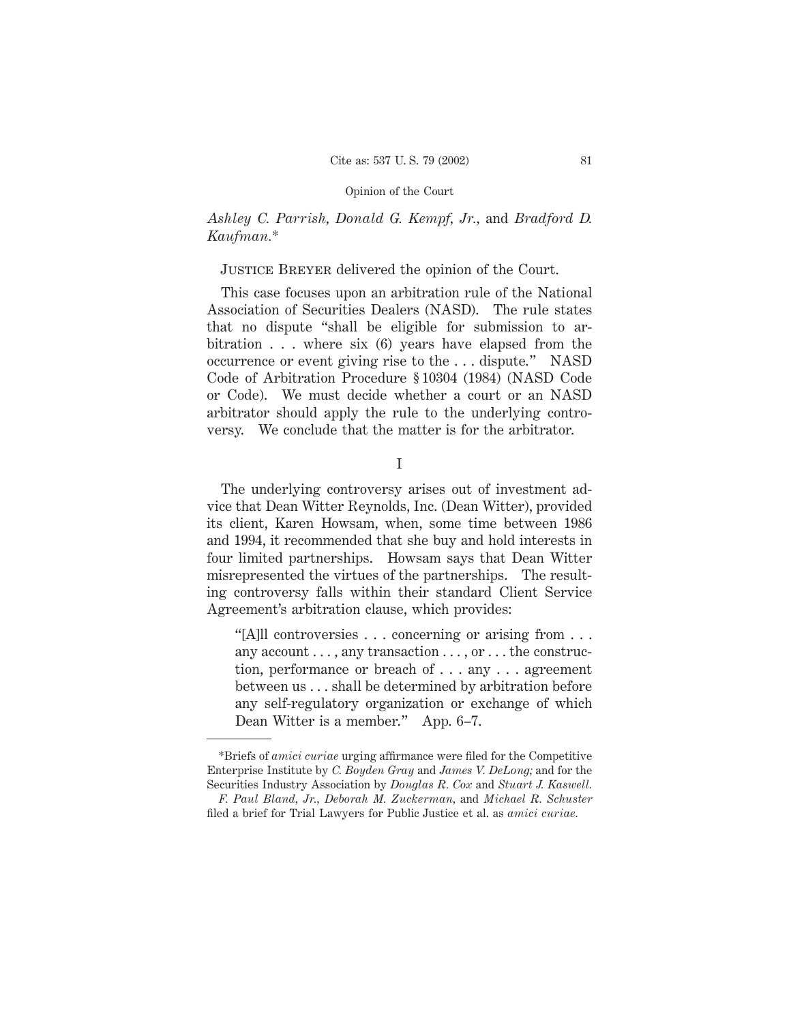# *Ashley C. Parrish, Donald G. Kempf, Jr.,* and *Bradford D. Kaufman.*\*

# Justice Breyer delivered the opinion of the Court.

This case focuses upon an arbitration rule of the National Association of Securities Dealers (NASD). The rule states that no dispute "shall be eligible for submission to arbitration . . . where six (6) years have elapsed from the occurrence or event giving rise to the . . . dispute." NASD Code of Arbitration Procedure § 10304 (1984) (NASD Code or Code). We must decide whether a court or an NASD arbitrator should apply the rule to the underlying controversy. We conclude that the matter is for the arbitrator.

I

The underlying controversy arises out of investment advice that Dean Witter Reynolds, Inc. (Dean Witter), provided its client, Karen Howsam, when, some time between 1986 and 1994, it recommended that she buy and hold interests in four limited partnerships. Howsam says that Dean Witter misrepresented the virtues of the partnerships. The resulting controversy falls within their standard Client Service Agreement's arbitration clause, which provides:

"[A]ll controversies... concerning or arising from... any account . . . , any transaction . . . , or . . . the construction, performance or breach of . . . any . . . agreement between us . . . shall be determined by arbitration before any self-regulatory organization or exchange of which Dean Witter is a member." App. 6–7.

<sup>\*</sup>Briefs of *amici curiae* urging affirmance were filed for the Competitive Enterprise Institute by *C. Boyden Gray* and *James V. DeLong;* and for the Securities Industry Association by *Douglas R. Cox* and *Stuart J. Kaswell.*

*F. Paul Bland, Jr., Deborah M. Zuckerman,* and *Michael R. Schuster* filed a brief for Trial Lawyers for Public Justice et al. as *amici curiae.*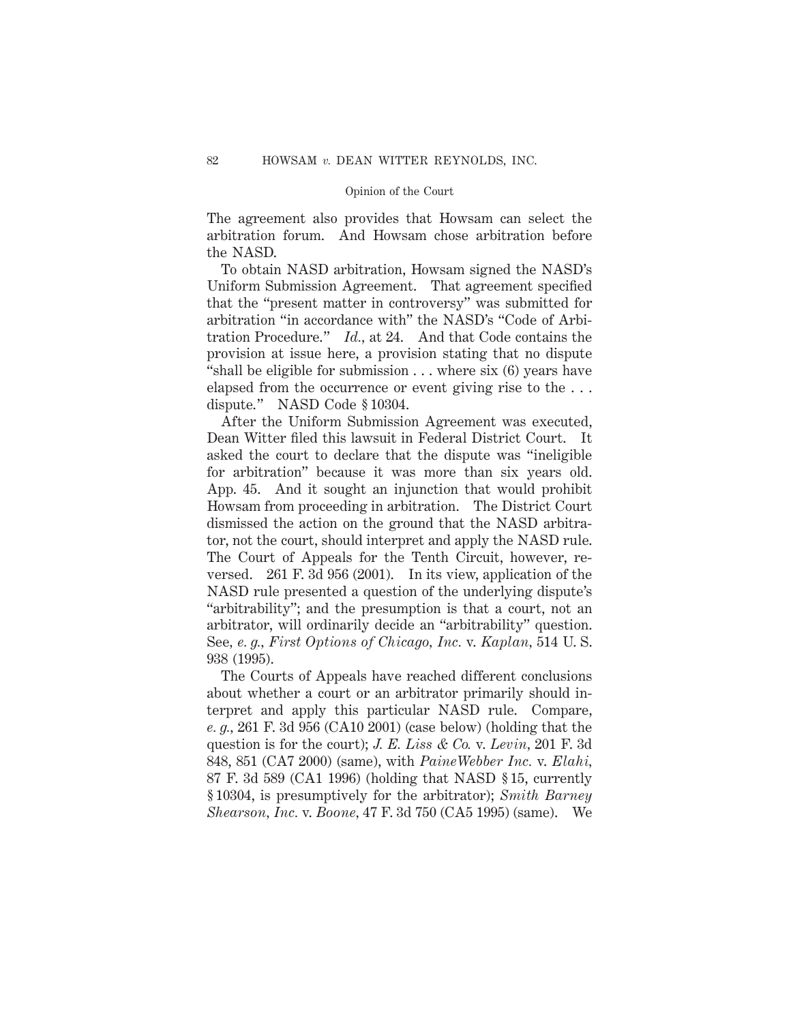The agreement also provides that Howsam can select the arbitration forum. And Howsam chose arbitration before the NASD.

To obtain NASD arbitration, Howsam signed the NASD's Uniform Submission Agreement. That agreement specified that the "present matter in controversy" was submitted for arbitration "in accordance with" the NASD's "Code of Arbitration Procedure." *Id.,* at 24. And that Code contains the provision at issue here, a provision stating that no dispute "shall be eligible for submission . . . where six (6) years have elapsed from the occurrence or event giving rise to the . . . dispute." NASD Code § 10304.

After the Uniform Submission Agreement was executed, Dean Witter filed this lawsuit in Federal District Court. It asked the court to declare that the dispute was "ineligible for arbitration" because it was more than six years old. App. 45. And it sought an injunction that would prohibit Howsam from proceeding in arbitration. The District Court dismissed the action on the ground that the NASD arbitrator, not the court, should interpret and apply the NASD rule. The Court of Appeals for the Tenth Circuit, however, reversed. 261 F. 3d 956 (2001). In its view, application of the NASD rule presented a question of the underlying dispute's "arbitrability"; and the presumption is that a court, not an arbitrator, will ordinarily decide an "arbitrability" question. See*, e. g., First Options of Chicago, Inc.* v. *Kaplan,* 514 U. S. 938 (1995).

The Courts of Appeals have reached different conclusions about whether a court or an arbitrator primarily should interpret and apply this particular NASD rule. Compare, *e. g.,* 261 F. 3d 956 (CA10 2001) (case below) (holding that the question is for the court); *J. E. Liss & Co.* v. *Levin,* 201 F. 3d 848, 851 (CA7 2000) (same), with *PaineWebber Inc.* v. *Elahi,* 87 F. 3d 589 (CA1 1996) (holding that NASD § 15, currently § 10304, is presumptively for the arbitrator); *Smith Barney Shearson, Inc.* v. *Boone,* 47 F. 3d 750 (CA5 1995) (same). We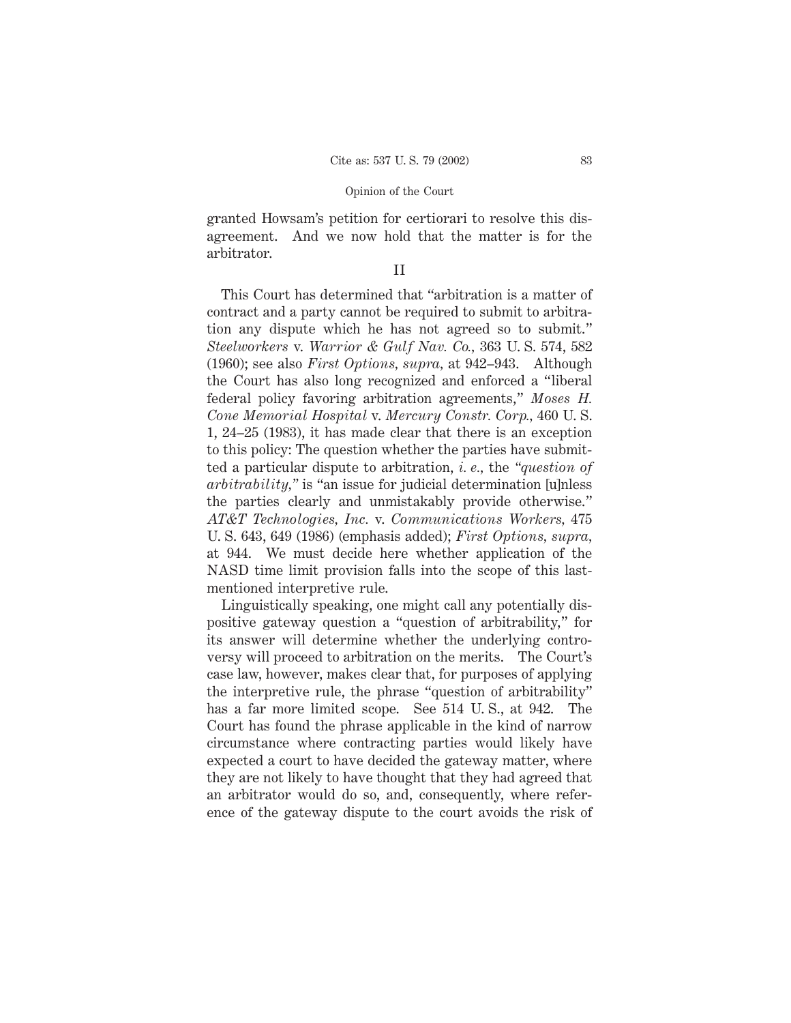granted Howsam's petition for certiorari to resolve this disagreement. And we now hold that the matter is for the arbitrator.

## II

This Court has determined that "arbitration is a matter of contract and a party cannot be required to submit to arbitration any dispute which he has not agreed so to submit." *Steelworkers* v. *Warrior & Gulf Nav. Co.,* 363 U. S. 574, 582 (1960); see also *First Options, supra,* at 942–943. Although the Court has also long recognized and enforced a "liberal federal policy favoring arbitration agreements," *Moses H. Cone Memorial Hospital* v. *Mercury Constr. Corp.,* 460 U. S. 1, 24–25 (1983), it has made clear that there is an exception to this policy: The question whether the parties have submitted a particular dispute to arbitration, *i. e.,* the *"question of arbitrability,"* is "an issue for judicial determination [u]nless the parties clearly and unmistakably provide otherwise." *AT&T Technologies, Inc.* v. *Communications Workers,* 475 U. S. 643, 649 (1986) (emphasis added); *First Options, supra,* at 944. We must decide here whether application of the NASD time limit provision falls into the scope of this lastmentioned interpretive rule.

Linguistically speaking, one might call any potentially dispositive gateway question a "question of arbitrability," for its answer will determine whether the underlying controversy will proceed to arbitration on the merits. The Court's case law, however, makes clear that, for purposes of applying the interpretive rule, the phrase "question of arbitrability" has a far more limited scope. See 514 U. S., at 942. The Court has found the phrase applicable in the kind of narrow circumstance where contracting parties would likely have expected a court to have decided the gateway matter, where they are not likely to have thought that they had agreed that an arbitrator would do so, and, consequently, where reference of the gateway dispute to the court avoids the risk of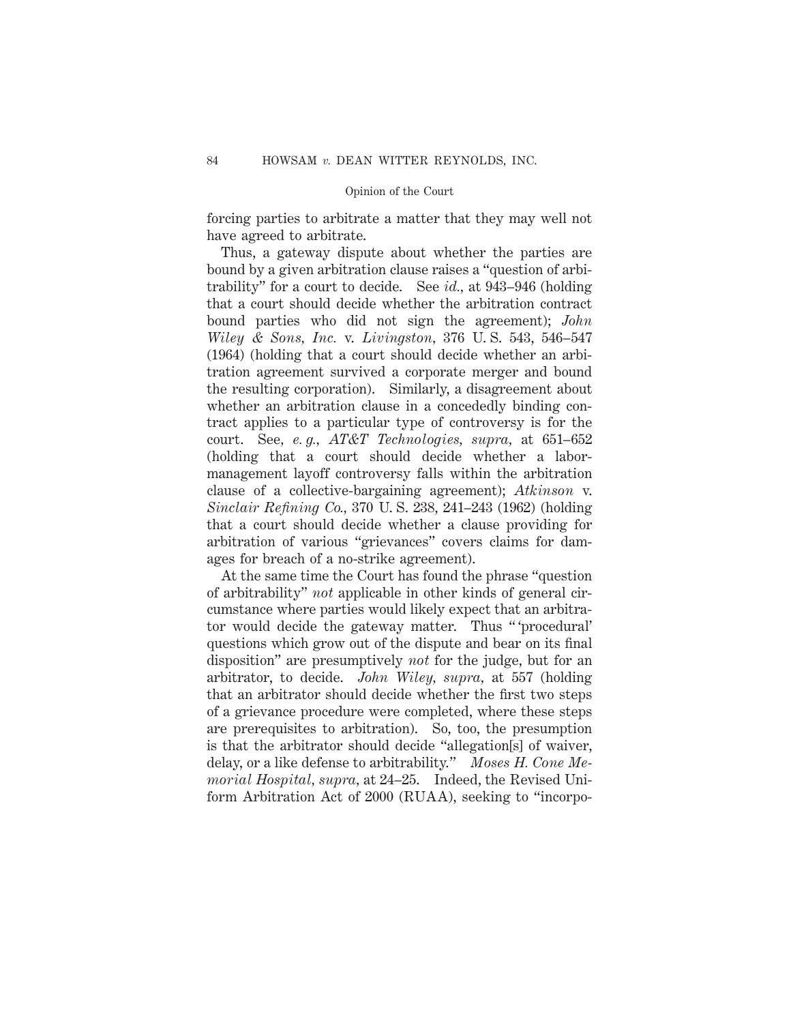forcing parties to arbitrate a matter that they may well not have agreed to arbitrate.

Thus, a gateway dispute about whether the parties are bound by a given arbitration clause raises a "question of arbitrability" for a court to decide. See *id.,* at 943–946 (holding that a court should decide whether the arbitration contract bound parties who did not sign the agreement); *John Wiley & Sons, Inc.* v. *Livingston,* 376 U. S. 543, 546–547 (1964) (holding that a court should decide whether an arbitration agreement survived a corporate merger and bound the resulting corporation). Similarly, a disagreement about whether an arbitration clause in a concededly binding contract applies to a particular type of controversy is for the court. See*, e. g., AT&T Technologies, supra,* at 651–652 (holding that a court should decide whether a labormanagement layoff controversy falls within the arbitration clause of a collective-bargaining agreement); *Atkinson* v. *Sinclair Refining Co.,* 370 U. S. 238, 241–243 (1962) (holding that a court should decide whether a clause providing for arbitration of various "grievances" covers claims for damages for breach of a no-strike agreement).

At the same time the Court has found the phrase "question of arbitrability" *not* applicable in other kinds of general circumstance where parties would likely expect that an arbitrator would decide the gateway matter. Thus " 'procedural' questions which grow out of the dispute and bear on its final disposition" are presumptively *not* for the judge, but for an arbitrator, to decide. *John Wiley, supra,* at 557 (holding that an arbitrator should decide whether the first two steps of a grievance procedure were completed, where these steps are prerequisites to arbitration). So, too, the presumption is that the arbitrator should decide "allegation[s] of waiver, delay, or a like defense to arbitrability." *Moses H. Cone Memorial Hospital, supra,* at 24–25. Indeed, the Revised Uniform Arbitration Act of 2000 (RUAA), seeking to "incorpo-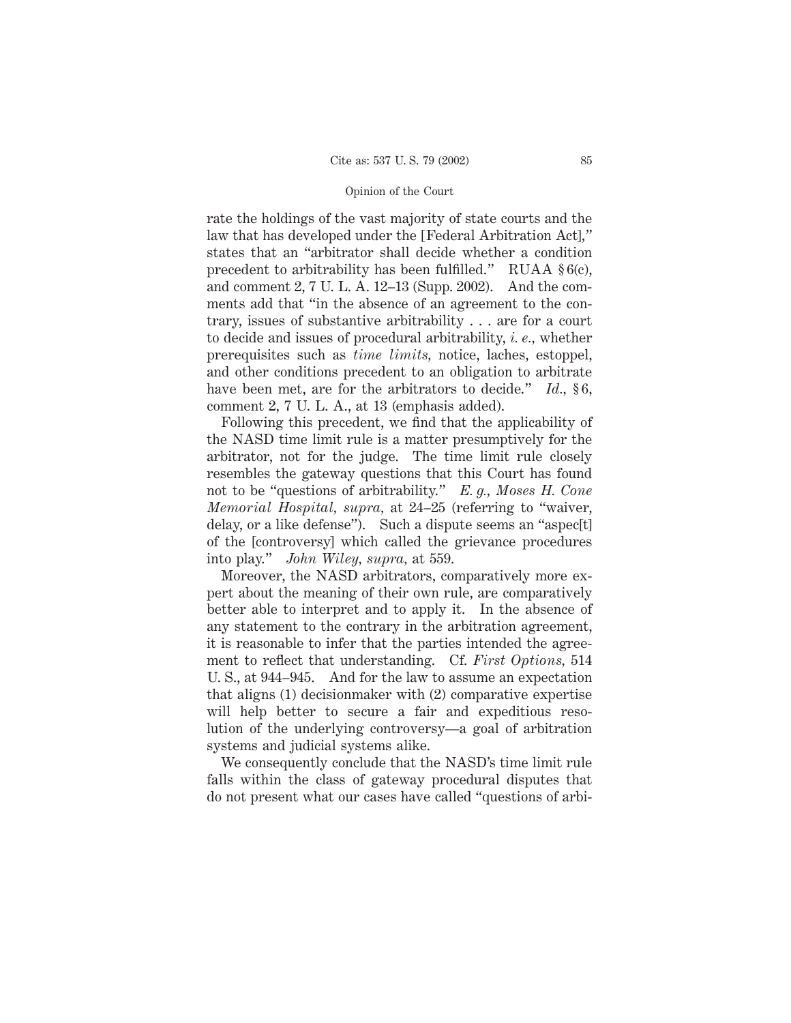rate the holdings of the vast majority of state courts and the law that has developed under the [Federal Arbitration Act]," states that an "arbitrator shall decide whether a condition precedent to arbitrability has been fulfilled." RUAA § 6(c), and comment 2, 7 U. L. A. 12–13 (Supp. 2002). And the comments add that "in the absence of an agreement to the contrary, issues of substantive arbitrability . . . are for a court to decide and issues of procedural arbitrability, *i. e.,* whether prerequisites such as *time limits,* notice, laches, estoppel, and other conditions precedent to an obligation to arbitrate have been met, are for the arbitrators to decide." *Id.*, §6, comment 2, 7 U. L. A., at 13 (emphasis added).

Following this precedent, we find that the applicability of the NASD time limit rule is a matter presumptively for the arbitrator, not for the judge. The time limit rule closely resembles the gateway questions that this Court has found not to be "questions of arbitrability." *E. g., Moses H. Cone Memorial Hospital, supra,* at 24–25 (referring to "waiver, delay, or a like defense"). Such a dispute seems an "aspec[t] of the [controversy] which called the grievance procedures into play." *John Wiley, supra,* at 559.

Moreover, the NASD arbitrators, comparatively more expert about the meaning of their own rule, are comparatively better able to interpret and to apply it. In the absence of any statement to the contrary in the arbitration agreement, it is reasonable to infer that the parties intended the agreement to reflect that understanding. Cf. *First Options,* 514 U. S., at 944–945. And for the law to assume an expectation that aligns (1) decisionmaker with (2) comparative expertise will help better to secure a fair and expeditious resolution of the underlying controversy—a goal of arbitration systems and judicial systems alike.

We consequently conclude that the NASD's time limit rule falls within the class of gateway procedural disputes that do not present what our cases have called "questions of arbi-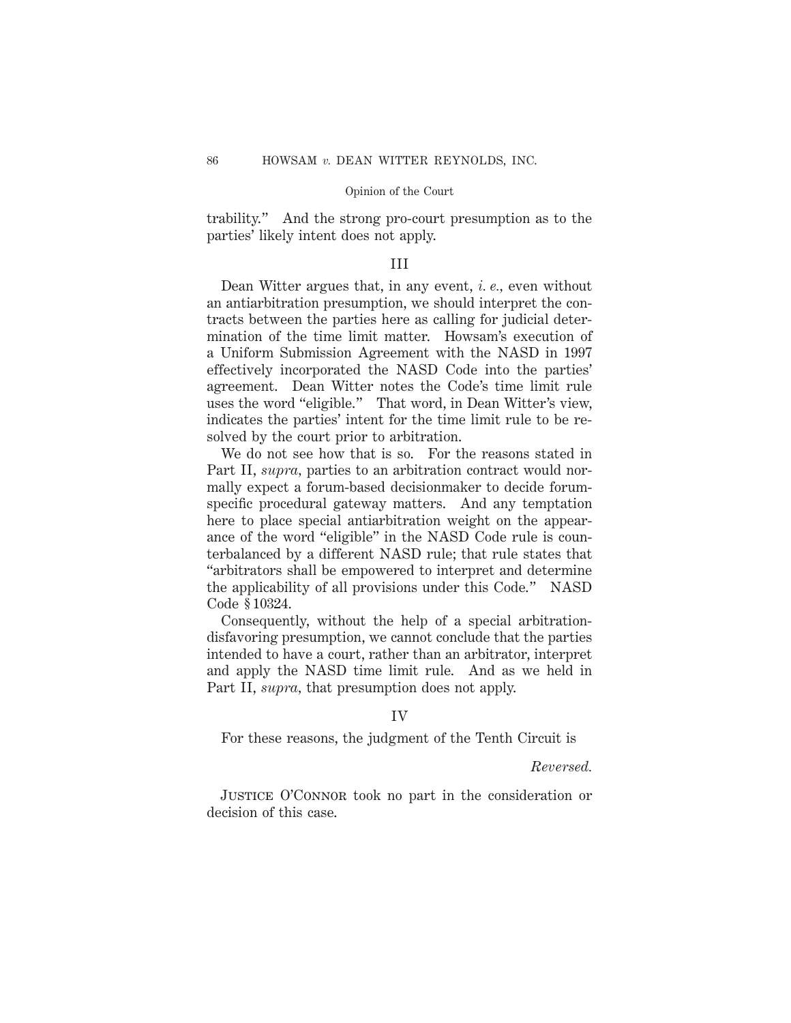trability." And the strong pro-court presumption as to the parties' likely intent does not apply.

### III

Dean Witter argues that, in any event, *i. e.,* even without an antiarbitration presumption, we should interpret the contracts between the parties here as calling for judicial determination of the time limit matter. Howsam's execution of a Uniform Submission Agreement with the NASD in 1997 effectively incorporated the NASD Code into the parties' agreement. Dean Witter notes the Code's time limit rule uses the word "eligible." That word, in Dean Witter's view, indicates the parties' intent for the time limit rule to be resolved by the court prior to arbitration.

We do not see how that is so. For the reasons stated in Part II, *supra,* parties to an arbitration contract would normally expect a forum-based decisionmaker to decide forumspecific procedural gateway matters. And any temptation here to place special antiarbitration weight on the appearance of the word "eligible" in the NASD Code rule is counterbalanced by a different NASD rule; that rule states that "arbitrators shall be empowered to interpret and determine the applicability of all provisions under this Code." NASD Code § 10324.

Consequently, without the help of a special arbitrationdisfavoring presumption, we cannot conclude that the parties intended to have a court, rather than an arbitrator, interpret and apply the NASD time limit rule. And as we held in Part II, *supra,* that presumption does not apply.

### IV

For these reasons, the judgment of the Tenth Circuit is

### *Reversed.*

Justice O'Connor took no part in the consideration or decision of this case.